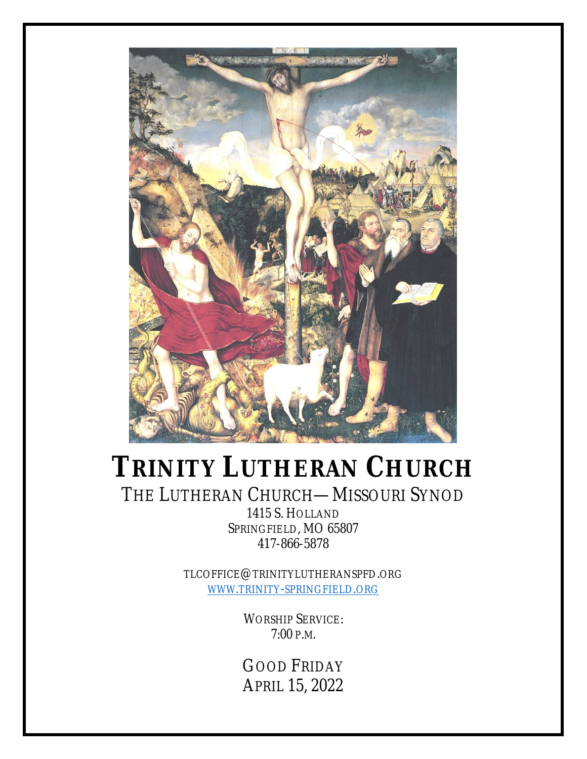

# **TRINITY LUTHERAN CHURCH**

# THE LUTHERAN CHURCH—MISSOURI SYNOD

1415 S. HOLLAND SPRINGFIELD, MO 65807 417-866-5878

TLCOFFICE@TRINITYLUTHERANSPFD.ORG WWW.TRINITY-SPRINGFIELD.ORG

> WORSHIP SERVICE: 7:00 P.M.

> GOOD FRIDAY APRIL 15, 2022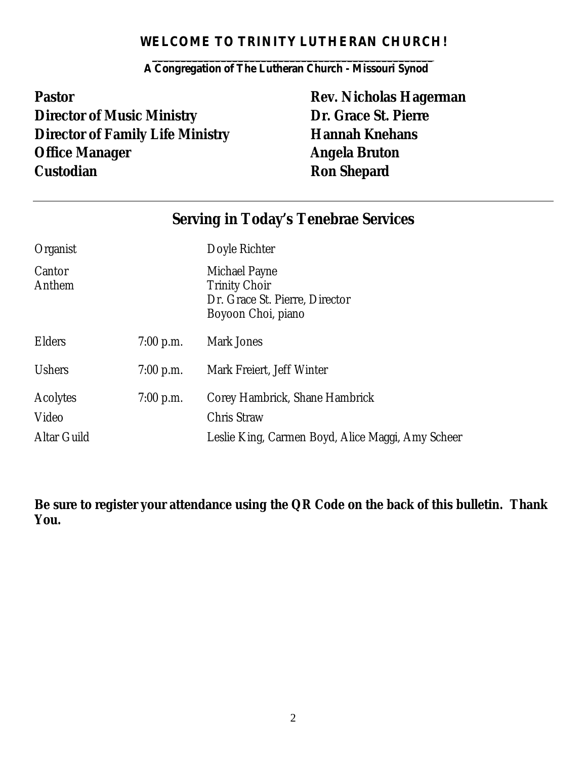# *WELCOME TO TRINITY LUTHERAN CHURCH!*

*\_\_\_\_\_\_\_\_\_\_\_\_\_\_\_\_\_\_\_\_\_\_\_\_\_\_\_\_\_\_\_\_\_\_\_\_\_\_\_\_\_\_\_\_\_\_\_\_\_ A Congregation of The Lutheran Church - Missouri Synod*

**Pastor Pastor Rev. Nicholas Hagerman Director of Music Ministry Dr. Grace St. Pierre Director of Family Life Ministry <b>Hannah Knehans Office Manager Angela Bruton Custodian Custodian Ron Shepard** 

# **Serving in Today's Tenebrae Services**

| Organist          |             | Doyle Richter                                                                                 |
|-------------------|-------------|-----------------------------------------------------------------------------------------------|
| Cantor<br>Anthem  |             | Michael Payne<br><b>Trinity Choir</b><br>Dr. Grace St. Pierre, Director<br>Boyoon Choi, piano |
| <b>Elders</b>     | $7:00$ p.m. | Mark Jones                                                                                    |
| <b>Ushers</b>     | $7:00$ p.m. | Mark Freiert, Jeff Winter                                                                     |
| Acolytes<br>Video | $7:00$ p.m. | Corey Hambrick, Shane Hambrick<br><b>Chris Straw</b>                                          |
| Altar Guild       |             | Leslie King, Carmen Boyd, Alice Maggi, Amy Scheer                                             |

**Be sure to register your attendance using the QR Code on the back of this bulletin. Thank You.**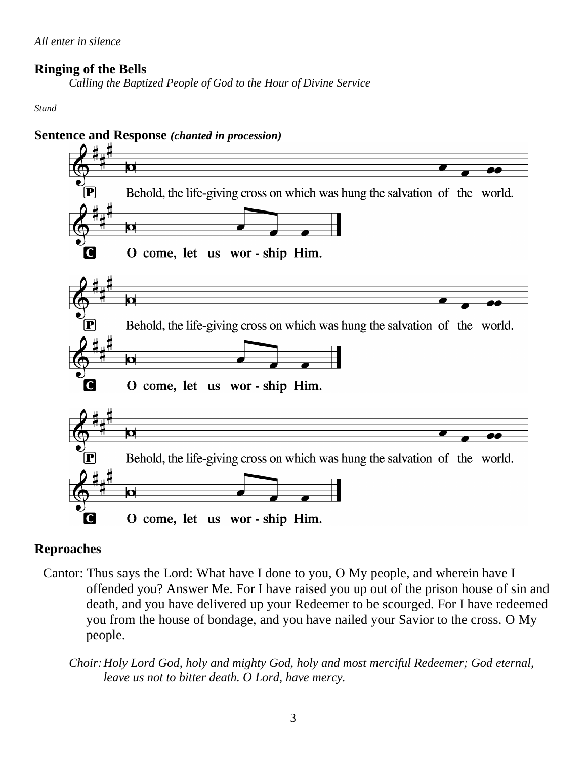# **Ringing of the Bells**

*Calling the Baptized People of God to the Hour of Divine Service*

*Stand*



# **Sentence and Response** *(chanted in procession)*

# **Reproaches**

- Cantor: Thus says the Lord: What have I done to you, O My people, and wherein have I offended you? Answer Me. For I have raised you up out of the prison house of sin and death, and you have delivered up your Redeemer to be scourged. For I have redeemed you from the house of bondage, and you have nailed your Savior to the cross. O My people.
	- *Choir:Holy Lord God, holy and mighty God, holy and most merciful Redeemer; God eternal, leave us not to bitter death. O Lord, have mercy.*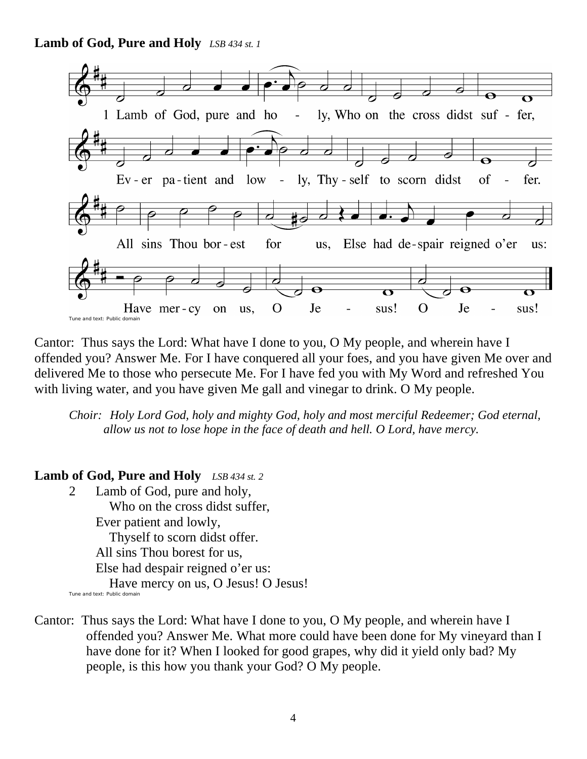**Lamb of God, Pure and Holy** *LSB 434 st. 1*



Cantor: Thus says the Lord: What have I done to you, O My people, and wherein have I offended you? Answer Me. For I have conquered all your foes, and you have given Me over and delivered Me to those who persecute Me. For I have fed you with My Word and refreshed You with living water, and you have given Me gall and vinegar to drink. O My people.

*Choir: Holy Lord God, holy and mighty God, holy and most merciful Redeemer; God eternal, allow us not to lose hope in the face of death and hell. O Lord, have mercy.*

#### **Lamb of God, Pure and Holy** *LSB 434 st. 2*

- 2 Lamb of God, pure and holy, Who on the cross didst suffer, Ever patient and lowly, Thyself to scorn didst offer. All sins Thou borest for us, Else had despair reigned o'er us: Have mercy on us, O Jesus! O Jesus! Tune and text: Public domain
- Cantor: Thus says the Lord: What have I done to you, O My people, and wherein have I offended you? Answer Me. What more could have been done for My vineyard than I have done for it? When I looked for good grapes, why did it yield only bad? My people, is this how you thank your God? O My people.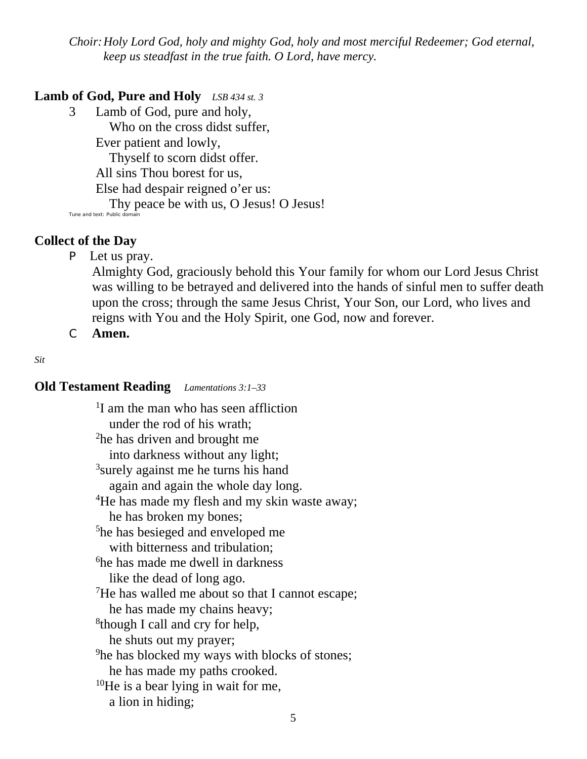*Choir:Holy Lord God, holy and mighty God, holy and most merciful Redeemer; God eternal, keep us steadfast in the true faith. O Lord, have mercy.*

# **Lamb of God, Pure and Holy** *LSB 434 st. 3*

3 Lamb of God, pure and holy, Who on the cross didst suffer, Ever patient and lowly, Thyself to scorn didst offer. All sins Thou borest for us, Else had despair reigned o'er us: Thy peace be with us, O Jesus! O Jesus!

#### **Collect of the Day**

P Let us pray.

Almighty God, graciously behold this Your family for whom our Lord Jesus Christ was willing to be betrayed and delivered into the hands of sinful men to suffer death upon the cross; through the same Jesus Christ, Your Son, our Lord, who lives and reigns with You and the Holy Spirit, one God, now and forever.

C **Amen.**

*Sit*

## **Old Testament Reading** *Lamentations 3:1–33*

<sup>1</sup>I am the man who has seen affliction under the rod of his wrath; <sup>2</sup>he has driven and brought me into darkness without any light; <sup>3</sup>surely against me he turns his hand again and again the whole day long. <sup>4</sup>He has made my flesh and my skin waste away; he has broken my bones; <sup>5</sup>he has besieged and enveloped me with bitterness and tribulation; <sup>6</sup>he has made me dwell in darkness like the dead of long ago.  $7$ He has walled me about so that I cannot escape; he has made my chains heavy; <sup>8</sup>though I call and cry for help, he shuts out my prayer; <sup>9</sup>he has blocked my ways with blocks of stones; he has made my paths crooked.  $10$ He is a bear lying in wait for me, a lion in hiding;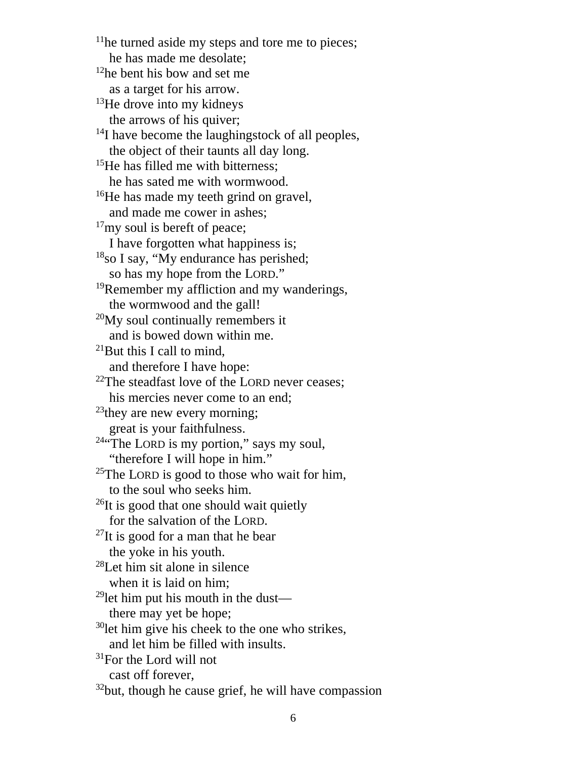$<sup>11</sup>$ he turned aside my steps and tore me to pieces;</sup> he has made me desolate; <sup>12</sup>he bent his bow and set me as a target for his arrow. <sup>13</sup>He drove into my kidneys the arrows of his quiver; <sup>14</sup>I have become the laughingstock of all peoples, the object of their taunts all day long. <sup>15</sup>He has filled me with bitterness; he has sated me with wormwood. <sup>16</sup>He has made my teeth grind on gravel, and made me cower in ashes;  $17$ my soul is bereft of peace; I have forgotten what happiness is;  $18$ so I say, "My endurance has perished; so has my hope from the LORD." <sup>19</sup>Remember my affliction and my wanderings, the wormwood and the gall!  $20$ My soul continually remembers it and is bowed down within me.  $^{21}$ But this I call to mind, and therefore I have hope:  $22$ The steadfast love of the LORD never ceases; his mercies never come to an end;  $^{23}$ they are new every morning; great is your faithfulness. <sup>24"</sup>The LORD is my portion," says my soul, "therefore I will hope in him." <sup>25</sup>The LORD is good to those who wait for him, to the soul who seeks him.  $^{26}$ It is good that one should wait quietly for the salvation of the LORD.  $^{27}$ It is good for a man that he bear the yoke in his youth. <sup>28</sup>Let him sit alone in silence when it is laid on him;  $29$ let him put his mouth in the dust there may yet be hope;  $30$ let him give his cheek to the one who strikes, and let him be filled with insults.  $31$ For the Lord will not cast off forever,  $32$ but, though he cause grief, he will have compassion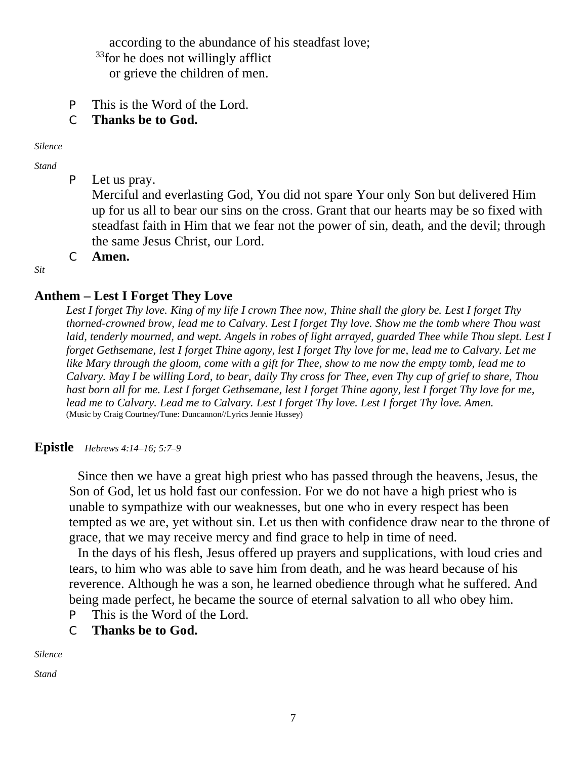according to the abundance of his steadfast love;

<sup>33</sup>for he does not willingly afflict

or grieve the children of men.

P This is the Word of the Lord.

## C **Thanks be to God.**

*Silence*

*Stand*

P Let us pray.

Merciful and everlasting God, You did not spare Your only Son but delivered Him up for us all to bear our sins on the cross. Grant that our hearts may be so fixed with steadfast faith in Him that we fear not the power of sin, death, and the devil; through the same Jesus Christ, our Lord.

C **Amen.**

*Sit*

## **Anthem – Lest I Forget They Love**

*Lest I forget Thy love. King of my life I crown Thee now, Thine shall the glory be. Lest I forget Thy thorned-crowned brow, lead me to Calvary. Lest I forget Thy love. Show me the tomb where Thou wast laid, tenderly mourned, and wept. Angels in robes of light arrayed, guarded Thee while Thou slept. Lest I forget Gethsemane, lest I forget Thine agony, lest I forget Thy love for me, lead me to Calvary. Let me like Mary through the gloom, come with a gift for Thee, show to me now the empty tomb, lead me to Calvary. May I be willing Lord, to bear, daily Thy cross for Thee, even Thy cup of grief to share, Thou hast born all for me. Lest I forget Gethsemane, lest I forget Thine agony, lest I forget Thy love for me, lead me to Calvary. Lead me to Calvary. Lest I forget Thy love. Lest I forget Thy love. Amen.* (Music by Craig Courtney/Tune: Duncannon//Lyrics Jennie Hussey)

**Epistle** *Hebrews 4:14–16; 5:7–9*

Since then we have a great high priest who has passed through the heavens, Jesus, the Son of God, let us hold fast our confession. For we do not have a high priest who is unable to sympathize with our weaknesses, but one who in every respect has been tempted as we are, yet without sin. Let us then with confidence draw near to the throne of grace, that we may receive mercy and find grace to help in time of need.

In the days of his flesh, Jesus offered up prayers and supplications, with loud cries and tears, to him who was able to save him from death, and he was heard because of his reverence. Although he was a son, he learned obedience through what he suffered. And being made perfect, he became the source of eternal salvation to all who obey him. P This is the Word of the Lord.

C **Thanks be to God.**

*Silence*

*Stand*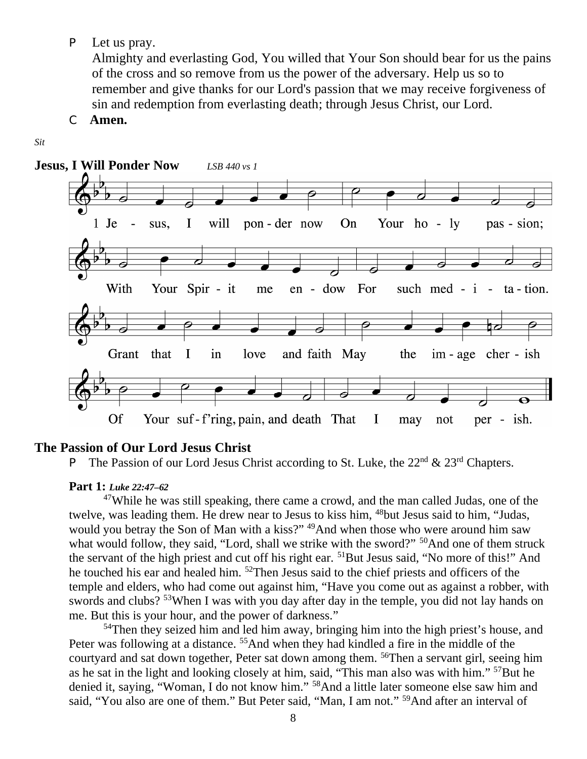P Let us pray.

Almighty and everlasting God, You willed that Your Son should bear for us the pains of the cross and so remove from us the power of the adversary. Help us so to remember and give thanks for our Lord's passion that we may receive forgiveness of sin and redemption from everlasting death; through Jesus Christ, our Lord.

C **Amen.**

#### *Sit*



#### **The Passion of Our Lord Jesus Christ**

#### **Part 1:** *Luke 22:47–62*

<sup>47</sup>While he was still speaking, there came a crowd, and the man called Judas, one of the twelve, was leading them. He drew near to Jesus to kiss him, <sup>48</sup>but Jesus said to him, "Judas, would you betray the Son of Man with a kiss?" <sup>49</sup>And when those who were around him saw what would follow, they said, "Lord, shall we strike with the sword?" <sup>50</sup>And one of them struck the servant of the high priest and cut off his right ear. <sup>51</sup>But Jesus said, "No more of this!" And he touched his ear and healed him. <sup>52</sup>Then Jesus said to the chief priests and officers of the temple and elders, who had come out against him, "Have you come out as against a robber, with swords and clubs? <sup>53</sup>When I was with you day after day in the temple, you did not lay hands on me. But this is your hour, and the power of darkness."

<sup>54</sup>Then they seized him and led him away, bringing him into the high priest's house, and Peter was following at a distance. <sup>55</sup>And when they had kindled a fire in the middle of the courtyard and sat down together, Peter sat down among them. <sup>56</sup>Then a servant girl, seeing him as he sat in the light and looking closely at him, said, "This man also was with him." <sup>57</sup>But he denied it, saying, "Woman, I do not know him." <sup>58</sup>And a little later someone else saw him and said, "You also are one of them." But Peter said, "Man, I am not." <sup>59</sup>And after an interval of

P The Passion of our Lord Jesus Christ according to St. Luke, the  $22<sup>nd</sup> \& 23<sup>rd</sup>$  Chapters.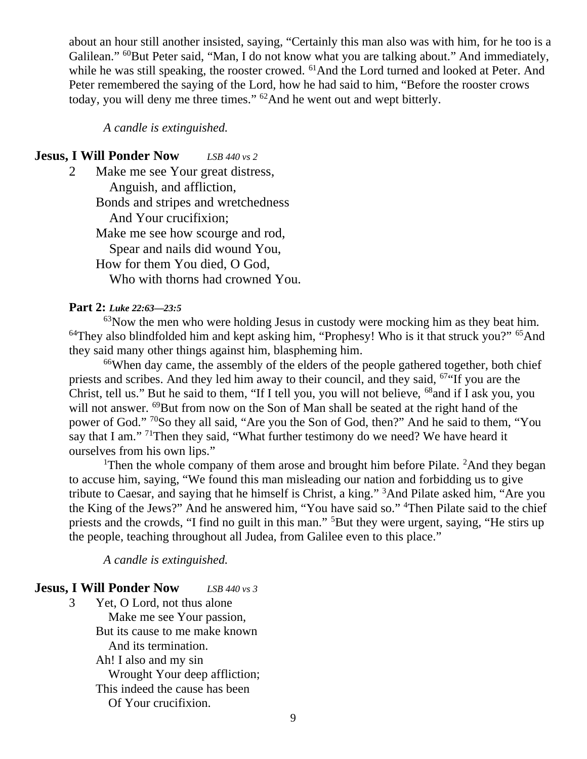about an hour still another insisted, saying, "Certainly this man also was with him, for he too is a Galilean." <sup>60</sup>But Peter said, "Man, I do not know what you are talking about." And immediately, while he was still speaking, the rooster crowed. <sup>61</sup>And the Lord turned and looked at Peter. And Peter remembered the saying of the Lord, how he had said to him, "Before the rooster crows today, you will deny me three times." <sup>62</sup>And he went out and wept bitterly.

*A candle is extinguished.*

#### **Jesus, I Will Ponder Now** *LSB 440 vs 2*

2 Make me see Your great distress, Anguish, and affliction, Bonds and stripes and wretchedness And Your crucifixion; Make me see how scourge and rod, Spear and nails did wound You, How for them You died, O God, Who with thorns had crowned You.

#### **Part 2:** *Luke 22:63—23:5*

 $63$ Now the men who were holding Jesus in custody were mocking him as they beat him.  $64$ They also blindfolded him and kept asking him, "Prophesy! Who is it that struck you?"  $65$ And they said many other things against him, blaspheming him.

<sup>66</sup>When day came, the assembly of the elders of the people gathered together, both chief priests and scribes. And they led him away to their council, and they said,  $67$  If you are the Christ, tell us." But he said to them, "If I tell you, you will not believe, <sup>68</sup>and if I ask you, you will not answer. <sup>69</sup>But from now on the Son of Man shall be seated at the right hand of the power of God." <sup>70</sup>So they all said, "Are you the Son of God, then?" And he said to them, "You say that I am."<sup>71</sup>Then they said, "What further testimony do we need? We have heard it ourselves from his own lips."

<sup>1</sup>Then the whole company of them arose and brought him before Pilate. <sup>2</sup>And they began to accuse him, saying, "We found this man misleading our nation and forbidding us to give tribute to Caesar, and saying that he himself is Christ, a king." <sup>3</sup>And Pilate asked him, "Are you the King of the Jews?" And he answered him, "You have said so." <sup>4</sup>Then Pilate said to the chief priests and the crowds, "I find no guilt in this man." <sup>5</sup>But they were urgent, saying, "He stirs up the people, teaching throughout all Judea, from Galilee even to this place."

*A candle is extinguished.*

#### **Jesus, I Will Ponder Now** *LSB 440 vs 3*

3 Yet, O Lord, not thus alone Make me see Your passion, But its cause to me make known And its termination. Ah! I also and my sin Wrought Your deep affliction; This indeed the cause has been Of Your crucifixion.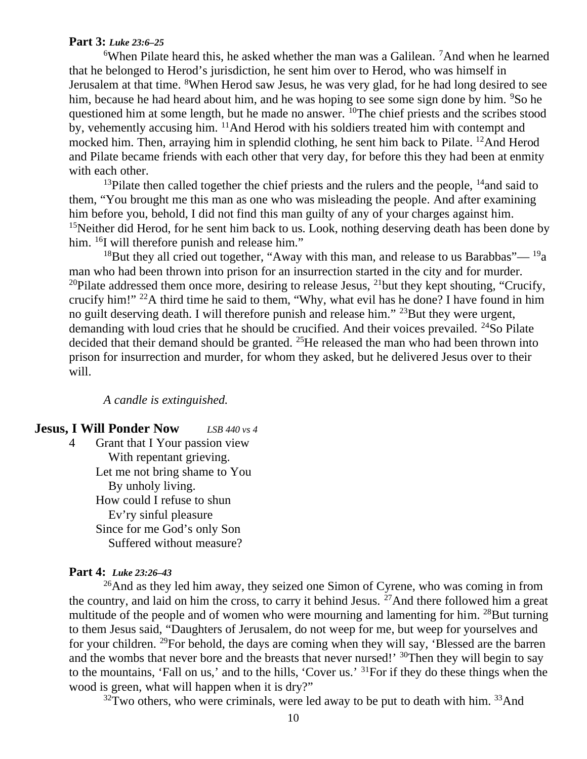#### **Part 3:** *Luke 23:6–25*

 $6$ When Pilate heard this, he asked whether the man was a Galilean. <sup>7</sup>And when he learned that he belonged to Herod's jurisdiction, he sent him over to Herod, who was himself in Jerusalem at that time. <sup>8</sup>When Herod saw Jesus, he was very glad, for he had long desired to see him, because he had heard about him, and he was hoping to see some sign done by him. <sup>9</sup>So he questioned him at some length, but he made no answer. <sup>10</sup>The chief priests and the scribes stood by, vehemently accusing him. <sup>11</sup>And Herod with his soldiers treated him with contempt and mocked him. Then, arraying him in splendid clothing, he sent him back to Pilate. <sup>12</sup>And Herod and Pilate became friends with each other that very day, for before this they had been at enmity with each other.

<sup>13</sup>Pilate then called together the chief priests and the rulers and the people, <sup>14</sup>and said to them, "You brought me this man as one who was misleading the people. And after examining him before you, behold, I did not find this man guilty of any of your charges against him. <sup>15</sup>Neither did Herod, for he sent him back to us. Look, nothing deserving death has been done by him. <sup>16</sup>I will therefore punish and release him."

<sup>18</sup>But they all cried out together, "Away with this man, and release to us Barabbas"— <sup>19</sup>a man who had been thrown into prison for an insurrection started in the city and for murder. <sup>20</sup>Pilate addressed them once more, desiring to release Jesus, <sup>21</sup>but they kept shouting, "Crucify, crucify him!" <sup>22</sup>A third time he said to them, "Why, what evil has he done? I have found in him no guilt deserving death. I will therefore punish and release him." <sup>23</sup>But they were urgent, demanding with loud cries that he should be crucified. And their voices prevailed. <sup>24</sup>So Pilate decided that their demand should be granted. <sup>25</sup>He released the man who had been thrown into prison for insurrection and murder, for whom they asked, but he delivered Jesus over to their will.

#### *A candle is extinguished.*

#### **Jesus, I Will Ponder Now** *LSB 440 vs 4*

4 Grant that I Your passion view With repentant grieving. Let me not bring shame to You By unholy living. How could I refuse to shun Ev'ry sinful pleasure Since for me God's only Son Suffered without measure?

#### **Part 4:** *Luke 23:26–43*

 $^{26}$ And as they led him away, they seized one Simon of Cyrene, who was coming in from the country, and laid on him the cross, to carry it behind Jesus.  $27$  And there followed him a great multitude of the people and of women who were mourning and lamenting for him. <sup>28</sup>But turning to them Jesus said, "Daughters of Jerusalem, do not weep for me, but weep for yourselves and for your children. <sup>29</sup>For behold, the days are coming when they will say, 'Blessed are the barren and the wombs that never bore and the breasts that never nursed!' <sup>30</sup>Then they will begin to say to the mountains, 'Fall on us,' and to the hills, 'Cover us.' <sup>31</sup>For if they do these things when the wood is green, what will happen when it is dry?"

 $32$ Two others, who were criminals, were led away to be put to death with him.  $33$ And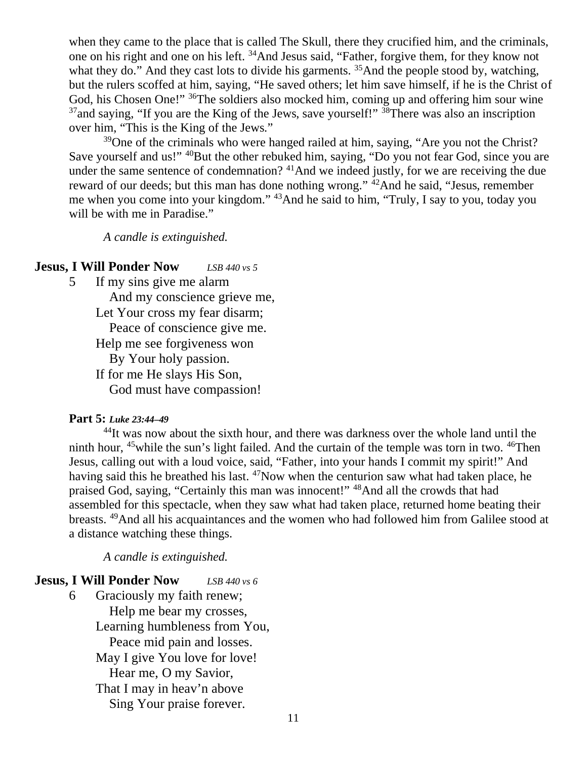when they came to the place that is called The Skull, there they crucified him, and the criminals, one on his right and one on his left. <sup>34</sup>And Jesus said, "Father, forgive them, for they know not what they do." And they cast lots to divide his garments. <sup>35</sup>And the people stood by, watching, but the rulers scoffed at him, saying, "He saved others; let him save himself, if he is the Christ of God, his Chosen One!" <sup>36</sup>The soldiers also mocked him, coming up and offering him sour wine  $37$ and saying, "If you are the King of the Jews, save yourself!"  $38$ There was also an inscription over him, "This is the King of the Jews."

<sup>39</sup>One of the criminals who were hanged railed at him, saying, "Are you not the Christ? Save yourself and us!" <sup>40</sup>But the other rebuked him, saying, "Do you not fear God, since you are under the same sentence of condemnation? <sup>41</sup>And we indeed justly, for we are receiving the due reward of our deeds; but this man has done nothing wrong." <sup>42</sup>And he said, "Jesus, remember me when you come into your kingdom." <sup>43</sup>And he said to him, "Truly, I say to you, today you will be with me in Paradise."

*A candle is extinguished.*

#### **Jesus, I Will Ponder Now** *LSB 440 vs 5*

5 If my sins give me alarm And my conscience grieve me, Let Your cross my fear disarm; Peace of conscience give me. Help me see forgiveness won By Your holy passion. If for me He slays His Son, God must have compassion!

#### **Part 5:** *Luke 23:44–49*

<sup>44</sup>It was now about the sixth hour, and there was darkness over the whole land until the ninth hour,  $45$  while the sun's light failed. And the curtain of the temple was torn in two.  $46$ Then Jesus, calling out with a loud voice, said, "Father, into your hands I commit my spirit!" And having said this he breathed his last. <sup>47</sup>Now when the centurion saw what had taken place, he praised God, saying, "Certainly this man was innocent!" <sup>48</sup>And all the crowds that had assembled for this spectacle, when they saw what had taken place, returned home beating their breasts. <sup>49</sup>And all his acquaintances and the women who had followed him from Galilee stood at a distance watching these things.

*A candle is extinguished.*

#### **Jesus, I Will Ponder Now** *LSB 440 vs 6*

6 Graciously my faith renew; Help me bear my crosses, Learning humbleness from You, Peace mid pain and losses. May I give You love for love! Hear me, O my Savior, That I may in heav'n above Sing Your praise forever.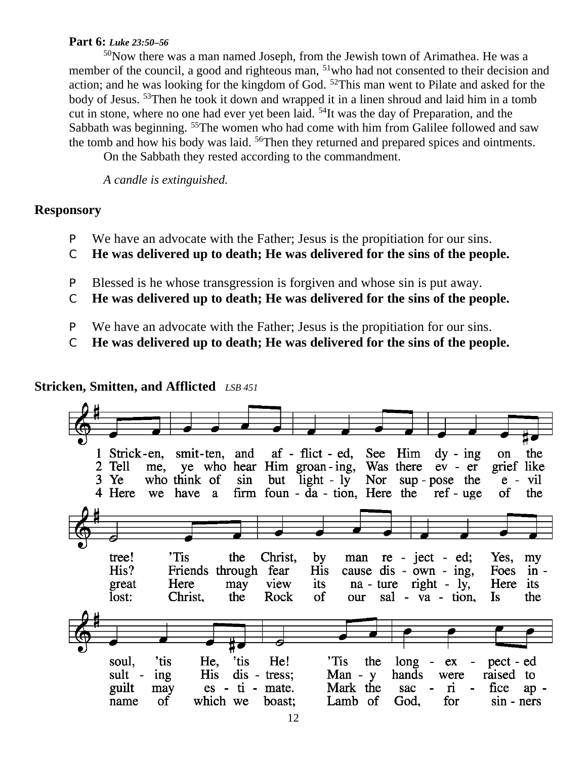#### **Part 6:** *Luke 23:50–56*

<sup>50</sup>Now there was a man named Joseph, from the Jewish town of Arimathea. He was a member of the council, a good and righteous man, <sup>51</sup>who had not consented to their decision and action; and he was looking for the kingdom of God. <sup>52</sup>This man went to Pilate and asked for the body of Jesus. <sup>53</sup>Then he took it down and wrapped it in a linen shroud and laid him in a tomb cut in stone, where no one had ever yet been laid. <sup>54</sup>It was the day of Preparation, and the Sabbath was beginning. <sup>55</sup>The women who had come with him from Galilee followed and saw the tomb and how his body was laid. <sup>56</sup>Then they returned and prepared spices and ointments.

On the Sabbath they rested according to the commandment.

*A candle is extinguished.*

#### **Responsory**

- P We have an advocate with the Father; Jesus is the propitiation for our sins.
- C **He was delivered up to death; He was delivered for the sins of the people.**
- P Blessed is he whose transgression is forgiven and whose sin is put away.
- C **He was delivered up to death; He was delivered for the sins of the people.**
- P We have an advocate with the Father; Jesus is the propitiation for our sins.
- C **He was delivered up to death; He was delivered for the sins of the people.**

## **Stricken, Smitten, and Afflicted** *LSB 451*

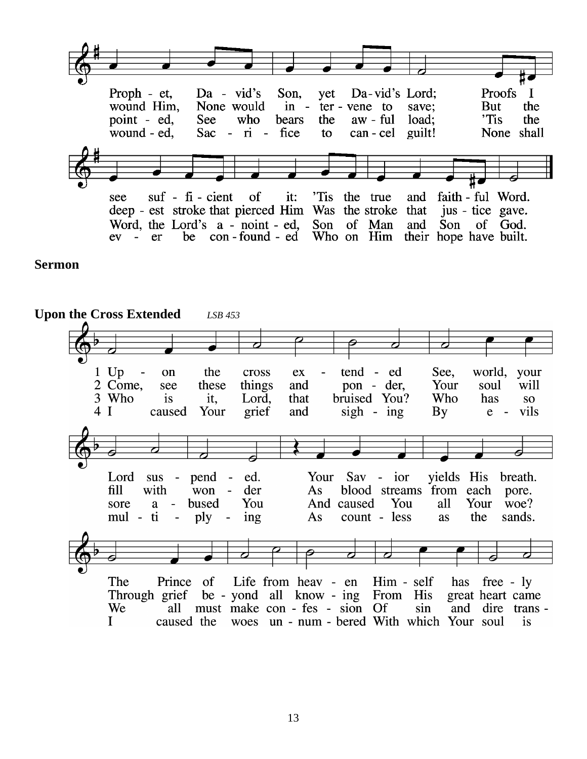Proofs Proph - et,  $Da - vid's$ Son. Da-vid's Lord; yet  $\mathbf I$ wound Him, None would **But**  $in$ the ter - vene to save: point - ed, See who the 'Tis the bears aw - ful load: wound - ed.  $Sac - ri - fice$ can - cel guilt! None shall to 'Tis the true of faith - ful Word.  $\text{snf}$  -  $\text{fi}$  - cient it: see and deep - est stroke that pierced Him Was the stroke that jus - tice gave. Word, the Lord's a - noint - ed, Son of Man and Son of God.  $ev - er$ be con-found - ed Who on Him their hope have built.

**Sermon** 

**Upon the Cross Extended** *LSB 453*tend - ed  $1$  Up world, your the cross See.  $\overline{\phantom{a}}$ on  $ex$  $\overline{a}$ 2 Come, pon - der, see these things and Your soul will bruised You? 3 Who is it. Lord. that Who has  $SO<sub>2</sub>$  $4<sub>1</sub>$ caused Your and  $sign - ing$ By vils grief  $e -$ Your Sav - ior vields His  $sus - pend$ ed. breath. Lord  $fill$ with  $\overline{\text{won}}$  der As blood streams from each pore. bused You And caused You all Your woe? sore a  $\sim 10^{-1}$  $\sim$ ply count - less the sands. mul - ti ing  $As$ as Life from heav - en The Him - self Prince of has free - ly Through grief be - yond all know - ing From His great heart came all must make con - fes - sion Of We sin and dire trans - $\mathbf I$ caused the woes un - num - bered With which Your soul is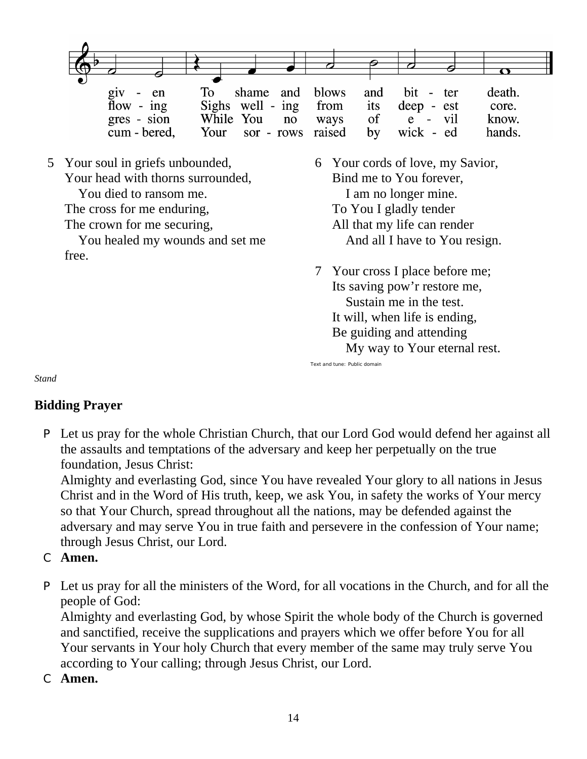|                                       | To                                   | shame and blows and bit - ter | death. |
|---------------------------------------|--------------------------------------|-------------------------------|--------|
| $\frac{giv}{flow}$ - $\frac{en}{ing}$ | Sighs well - ing from its deep - est |                               | core.  |
| $gres - sion$                         | While You no                         | ways of e - vil               | know.  |
| cum - bered,                          | Your sor - rows raised by wick - ed  |                               | hands. |

5 Your soul in griefs unbounded, Your head with thorns surrounded, You died to ransom me. The cross for me enduring, The crown for me securing, You healed my wounds and set me free.

6 Your cords of love, my Savior, Bind me to You forever, I am no longer mine. To You I gladly tender All that my life can render And all I have to You resign.

7 Your cross I place before me; Its saving pow'r restore me, Sustain me in the test. It will, when life is ending, Be guiding and attending My way to Your eternal rest.

*Stand*

# **Bidding Prayer**

P Let us pray for the whole Christian Church, that our Lord God would defend her against all the assaults and temptations of the adversary and keep her perpetually on the true foundation, Jesus Christ:

Text and tune: Public domain

Almighty and everlasting God, since You have revealed Your glory to all nations in Jesus Christ and in the Word of His truth, keep, we ask You, in safety the works of Your mercy so that Your Church, spread throughout all the nations, may be defended against the adversary and may serve You in true faith and persevere in the confession of Your name; through Jesus Christ, our Lord.

# C **Amen.**

P Let us pray for all the ministers of the Word, for all vocations in the Church, and for all the people of God:

Almighty and everlasting God, by whose Spirit the whole body of the Church is governed and sanctified, receive the supplications and prayers which we offer before You for all Your servants in Your holy Church that every member of the same may truly serve You according to Your calling; through Jesus Christ, our Lord.

C **Amen.**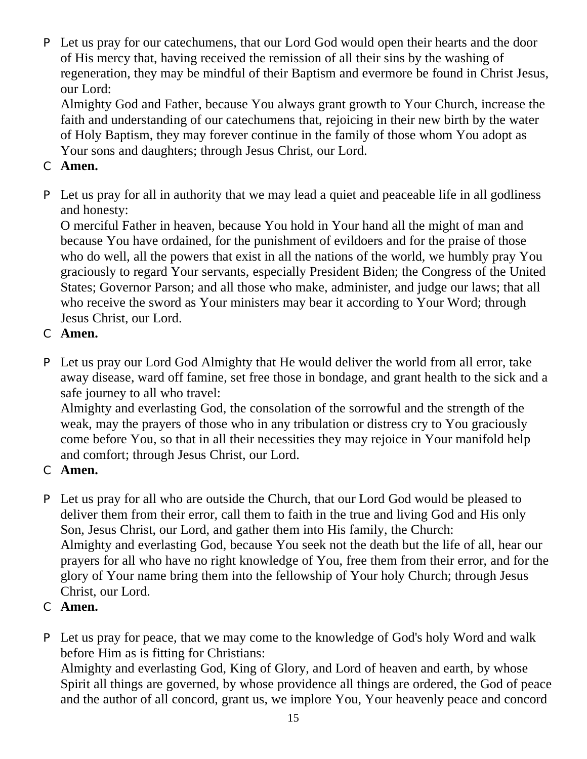P Let us pray for our catechumens, that our Lord God would open their hearts and the door of His mercy that, having received the remission of all their sins by the washing of regeneration, they may be mindful of their Baptism and evermore be found in Christ Jesus, our Lord:

Almighty God and Father, because You always grant growth to Your Church, increase the faith and understanding of our catechumens that, rejoicing in their new birth by the water of Holy Baptism, they may forever continue in the family of those whom You adopt as Your sons and daughters; through Jesus Christ, our Lord.

- C **Amen.**
- P Let us pray for all in authority that we may lead a quiet and peaceable life in all godliness and honesty:

O merciful Father in heaven, because You hold in Your hand all the might of man and because You have ordained, for the punishment of evildoers and for the praise of those who do well, all the powers that exist in all the nations of the world, we humbly pray You graciously to regard Your servants, especially President Biden; the Congress of the United States; Governor Parson; and all those who make, administer, and judge our laws; that all who receive the sword as Your ministers may bear it according to Your Word; through Jesus Christ, our Lord.

- C **Amen.**
- P Let us pray our Lord God Almighty that He would deliver the world from all error, take away disease, ward off famine, set free those in bondage, and grant health to the sick and a safe journey to all who travel:

Almighty and everlasting God, the consolation of the sorrowful and the strength of the weak, may the prayers of those who in any tribulation or distress cry to You graciously come before You, so that in all their necessities they may rejoice in Your manifold help and comfort; through Jesus Christ, our Lord.

- C **Amen.**
- P Let us pray for all who are outside the Church, that our Lord God would be pleased to deliver them from their error, call them to faith in the true and living God and His only Son, Jesus Christ, our Lord, and gather them into His family, the Church: Almighty and everlasting God, because You seek not the death but the life of all, hear our prayers for all who have no right knowledge of You, free them from their error, and for the glory of Your name bring them into the fellowship of Your holy Church; through Jesus Christ, our Lord.
- C **Amen.**
- P Let us pray for peace, that we may come to the knowledge of God's holy Word and walk before Him as is fitting for Christians:

Almighty and everlasting God, King of Glory, and Lord of heaven and earth, by whose Spirit all things are governed, by whose providence all things are ordered, the God of peace and the author of all concord, grant us, we implore You, Your heavenly peace and concord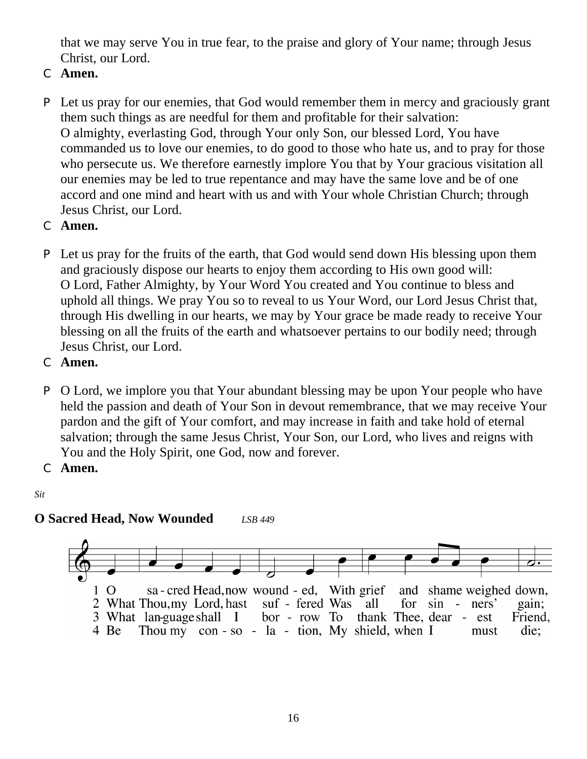that we may serve You in true fear, to the praise and glory of Your name; through Jesus Christ, our Lord.

- C **Amen.**
- P Let us pray for our enemies, that God would remember them in mercy and graciously grant them such things as are needful for them and profitable for their salvation: O almighty, everlasting God, through Your only Son, our blessed Lord, You have commanded us to love our enemies, to do good to those who hate us, and to pray for those who persecute us. We therefore earnestly implore You that by Your gracious visitation all our enemies may be led to true repentance and may have the same love and be of one accord and one mind and heart with us and with Your whole Christian Church; through Jesus Christ, our Lord.
- C **Amen.**
- P Let us pray for the fruits of the earth, that God would send down His blessing upon them and graciously dispose our hearts to enjoy them according to His own good will: O Lord, Father Almighty, by Your Word You created and You continue to bless and uphold all things. We pray You so to reveal to us Your Word, our Lord Jesus Christ that, through His dwelling in our hearts, we may by Your grace be made ready to receive Your blessing on all the fruits of the earth and whatsoever pertains to our bodily need; through Jesus Christ, our Lord.
- C **Amen.**
- P O Lord, we implore you that Your abundant blessing may be upon Your people who have held the passion and death of Your Son in devout remembrance, that we may receive Your pardon and the gift of Your comfort, and may increase in faith and take hold of eternal salvation; through the same Jesus Christ, Your Son, our Lord, who lives and reigns with You and the Holy Spirit, one God, now and forever.
- C **Amen.**

*Sit*

# **O Sacred Head, Now Wounded** *LSB 449*

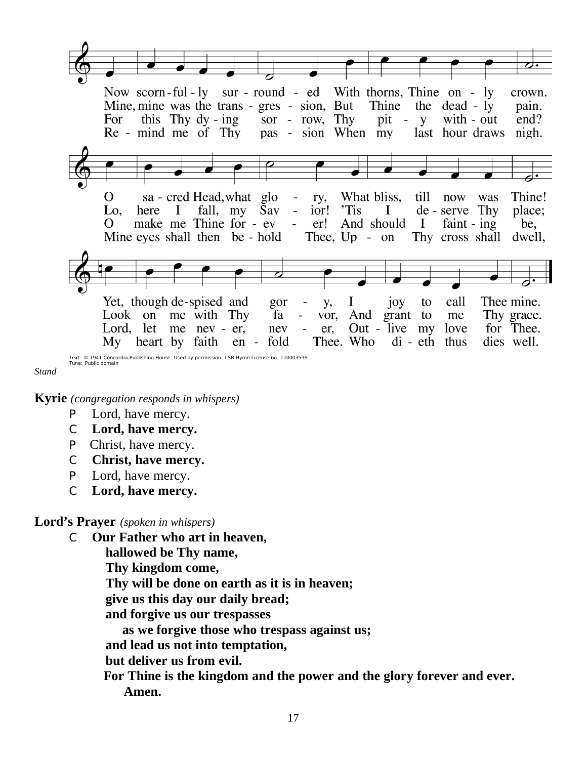

*Stand*

**Kyrie** *(congregation responds in whispers)*

- P Lord, have mercy.
- C **Lord, have mercy.**
- P Christ, have mercy.
- C **Christ, have mercy.**
- P Lord, have mercy.
- C **Lord, have mercy.**

#### **Lord's Prayer** *(spoken in whispers)*

C **Our Father who art in heaven,**

 **hallowed be Thy name, Thy kingdom come, Thy will be done on earth as it is in heaven; give us this day our daily bread; and forgive us our trespasses as we forgive those who trespass against us; and lead us not into temptation, but deliver us from evil. For Thine is the kingdom and the power and the glory forever and ever. Amen.**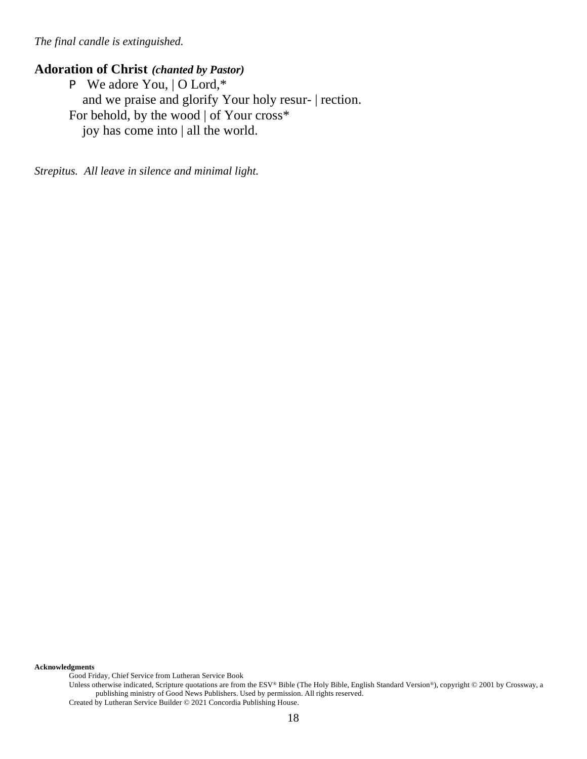*The final candle is extinguished.*

## **Adoration of Christ** *(chanted by Pastor)*

P We adore You, | O Lord,\* and we praise and glorify Your holy resur- | rection. For behold, by the wood | of Your cross\* joy has come into | all the world.

*Strepitus. All leave in silence and minimal light.*

**Acknowledgments**

Good Friday, Chief Service from Lutheran Service Book

Unless otherwise indicated, Scripture quotations are from the ESV® Bible (The Holy Bible, English Standard Version®), copyright © 2001 by Crossway, a publishing ministry of Good News Publishers. Used by permission. All rights reserved. Created by Lutheran Service Builder © 2021 Concordia Publishing House.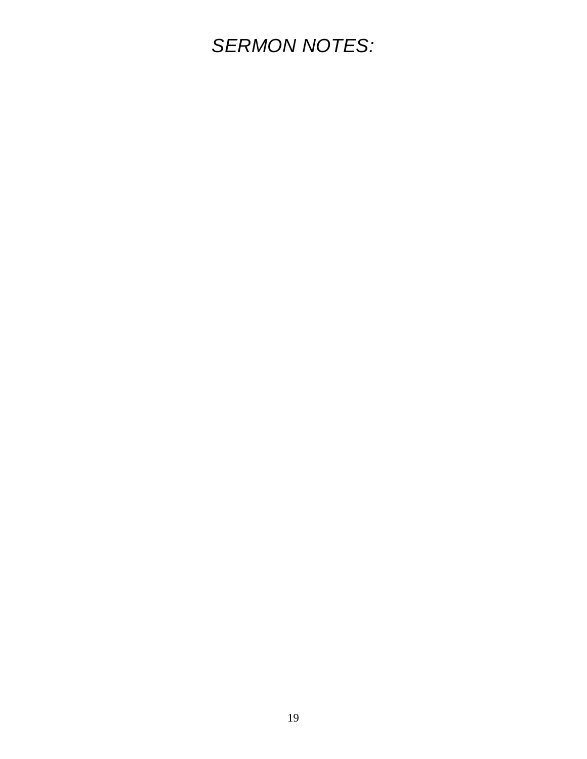# *SERMON NOTES:*